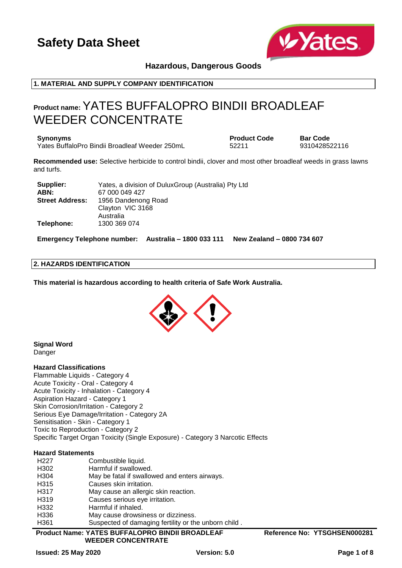

## **Hazardous, Dangerous Goods**

### **1. MATERIAL AND SUPPLY COMPANY IDENTIFICATION**

## **Product name:** YATES BUFFALOPRO BINDII BROADLEAF WEEDER CONCENTRATE

**Synonyms Product Code Bar Code** Yates BuffaloPro Bindii Broadleaf Weeder 250mL 52211 9310428522116

**Recommended use:** Selective herbicide to control bindii, clover and most other broadleaf weeds in grass lawns and turfs.

| Supplier:              | Yates, a division of DuluxGroup (Australia) Pty Ltd |
|------------------------|-----------------------------------------------------|
| ABN:                   | 67 000 049 427                                      |
| <b>Street Address:</b> | 1956 Dandenong Road                                 |
|                        | Clayton VIC 3168                                    |
|                        | Australia                                           |
| Telephone:             | 1300 369 074                                        |

**Emergency Telephone number: Australia – 1800 033 111 New Zealand – 0800 734 607**

## **2. HAZARDS IDENTIFICATION**

**This material is hazardous according to health criteria of Safe Work Australia.**



**Signal Word** Danger

#### **Hazard Classifications**

Flammable Liquids - Category 4 Acute Toxicity - Oral - Category 4 Acute Toxicity - Inhalation - Category 4 Aspiration Hazard - Category 1 Skin Corrosion/Irritation - Category 2 Serious Eye Damage/Irritation - Category 2A Sensitisation - Skin - Category 1 Toxic to Reproduction - Category 2 Specific Target Organ Toxicity (Single Exposure) - Category 3 Narcotic Effects

#### **Hazard Statements**

| H <sub>22</sub> 7 | Combustible liquid.                                  |
|-------------------|------------------------------------------------------|
| H302              | Harmful if swallowed.                                |
| H <sub>304</sub>  | May be fatal if swallowed and enters airways.        |
| H <sub>3</sub> 15 | Causes skin irritation.                              |
| H <sub>3</sub> 17 | May cause an allergic skin reaction.                 |
| H <sub>3</sub> 19 | Causes serious eye irritation.                       |
| H332              | Harmful if inhaled.                                  |
| H336              | May cause drowsiness or dizziness.                   |
| H <sub>361</sub>  | Suspected of damaging fertility or the unborn child. |
|                   |                                                      |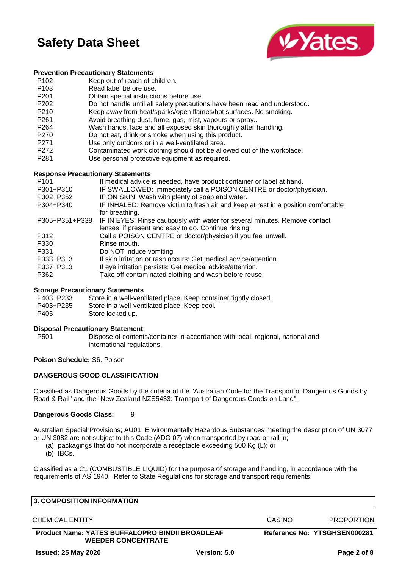

### **Prevention Precautionary Statements**

- P102 Keep out of reach of children.
- P103 Read label before use.
- P201 Obtain special instructions before use.
- P202 Do not handle until all safety precautions have been read and understood.
- P210 Keep away from heat/sparks/open flames/hot surfaces. No smoking.
- P261 Avoid breathing dust, fume, gas, mist, vapours or spray..
- P264 Wash hands, face and all exposed skin thoroughly after handling.
- P270 Do not eat, drink or smoke when using this product.
- P271 Use only outdoors or in a well-ventilated area.
- P272 Contaminated work clothing should not be allowed out of the workplace.
- P281 Use personal protective equipment as required.

## **Response Precautionary Statements**

| P <sub>101</sub> | If medical advice is needed, have product container or label at hand.                               |
|------------------|-----------------------------------------------------------------------------------------------------|
| P301+P310        | IF SWALLOWED: Immediately call a POISON CENTRE or doctor/physician.                                 |
| P302+P352        | IF ON SKIN: Wash with plenty of soap and water.                                                     |
| P304+P340        | IF INHALED: Remove victim to fresh air and keep at rest in a position comfortable<br>for breathing. |
| P305+P351+P338   | IF IN EYES: Rinse cautiously with water for several minutes. Remove contact                         |
|                  | lenses, if present and easy to do. Continue rinsing.                                                |
| P312             | Call a POISON CENTRE or doctor/physician if you feel unwell.                                        |
| P330             | Rinse mouth.                                                                                        |
| P331             | Do NOT induce vomiting.                                                                             |
| P333+P313        | If skin irritation or rash occurs: Get medical advice/attention.                                    |
| P337+P313        | If eye irritation persists: Get medical advice/attention.                                           |
| P362             | Take off contaminated clothing and wash before reuse.                                               |

#### **Storage Precautionary Statements**

| P403+P233 | Store in a well-ventilated place. Keep container tightly closed. |
|-----------|------------------------------------------------------------------|
| P403+P235 | Store in a well-ventilated place. Keep cool.                     |
| P405      | Store locked up.                                                 |

#### **Disposal Precautionary Statement**

P501 Dispose of contents/container in accordance with local, regional, national and international regulations.

## **Poison Schedule:** S6. Poison

## **DANGEROUS GOOD CLASSIFICATION**

Classified as Dangerous Goods by the criteria of the "Australian Code for the Transport of Dangerous Goods by Road & Rail" and the "New Zealand NZS5433: Transport of Dangerous Goods on Land".

#### **Dangerous Goods Class:** 9

Australian Special Provisions; AU01: Environmentally Hazardous Substances meeting the description of UN 3077 or UN 3082 are not subject to this Code (ADG 07) when transported by road or rail in;

- (a) packagings that do not incorporate a receptacle exceeding 500 Kg (L); or
- (b) IBCs.

Classified as a C1 (COMBUSTIBLE LIQUID) for the purpose of storage and handling, in accordance with the requirements of AS 1940. Refer to State Regulations for storage and transport requirements.

| <b>3. COMPOSITION INFORMATION</b>                                                   |        |                              |
|-------------------------------------------------------------------------------------|--------|------------------------------|
| CHEMICAL ENTITY                                                                     | CAS NO | <b>PROPORTION</b>            |
| <b>Product Name: YATES BUFFALOPRO BINDII BROADLEAF</b><br><b>WEEDER CONCENTRATE</b> |        | Reference No: YTSGHSEN000281 |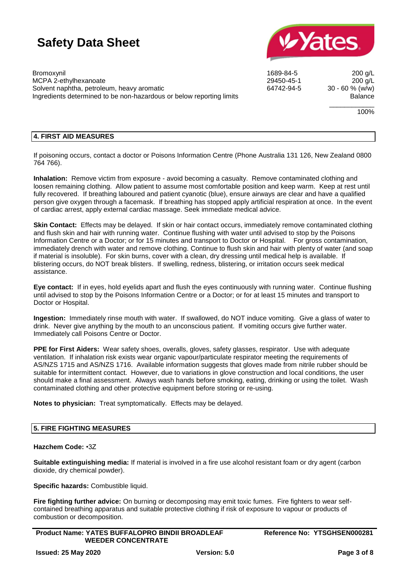Solvent naphtha, petroleum, heavy aromatic



Bromoxynil 1689-84-5 200 g/L MCPA 2-ethylhexanoate <br>
Solvent naphtha, petroleum, heavy aromatic 
29450-45-1 200 g/L<br>
29450-45 294-5 200 g/L<br>
200 g/L Ingredients determined to be non-hazardous or below reporting limits **Balance** Balance

\_\_\_\_\_\_\_\_\_\_\_\_

100%

## **4. FIRST AID MEASURES**

If poisoning occurs, contact a doctor or Poisons Information Centre (Phone Australia 131 126, New Zealand 0800 764 766).

**Inhalation:** Remove victim from exposure - avoid becoming a casualty. Remove contaminated clothing and loosen remaining clothing. Allow patient to assume most comfortable position and keep warm. Keep at rest until fully recovered. If breathing laboured and patient cyanotic (blue), ensure airways are clear and have a qualified person give oxygen through a facemask. If breathing has stopped apply artificial respiration at once. In the event of cardiac arrest, apply external cardiac massage. Seek immediate medical advice.

**Skin Contact:** Effects may be delayed. If skin or hair contact occurs, immediately remove contaminated clothing and flush skin and hair with running water. Continue flushing with water until advised to stop by the Poisons Information Centre or a Doctor; or for 15 minutes and transport to Doctor or Hospital. For gross contamination, immediately drench with water and remove clothing. Continue to flush skin and hair with plenty of water (and soap if material is insoluble). For skin burns, cover with a clean, dry dressing until medical help is available. If blistering occurs, do NOT break blisters. If swelling, redness, blistering, or irritation occurs seek medical assistance.

**Eye contact:** If in eyes, hold eyelids apart and flush the eyes continuously with running water. Continue flushing until advised to stop by the Poisons Information Centre or a Doctor; or for at least 15 minutes and transport to Doctor or Hospital.

**Ingestion:** Immediately rinse mouth with water. If swallowed, do NOT induce vomiting. Give a glass of water to drink. Never give anything by the mouth to an unconscious patient. If vomiting occurs give further water. Immediately call Poisons Centre or Doctor.

**PPE for First Aiders:** Wear safety shoes, overalls, gloves, safety glasses, respirator. Use with adequate ventilation. If inhalation risk exists wear organic vapour/particulate respirator meeting the requirements of AS/NZS 1715 and AS/NZS 1716. Available information suggests that gloves made from nitrile rubber should be suitable for intermittent contact. However, due to variations in glove construction and local conditions, the user should make a final assessment. Always wash hands before smoking, eating, drinking or using the toilet. Wash contaminated clothing and other protective equipment before storing or re-using.

**Notes to physician:** Treat symptomatically. Effects may be delayed.

## **5. FIRE FIGHTING MEASURES**

#### **Hazchem Code:** •3Z

**Suitable extinguishing media:** If material is involved in a fire use alcohol resistant foam or dry agent (carbon dioxide, dry chemical powder).

**Specific hazards:** Combustible liquid.

**Fire fighting further advice:** On burning or decomposing may emit toxic fumes. Fire fighters to wear selfcontained breathing apparatus and suitable protective clothing if risk of exposure to vapour or products of combustion or decomposition.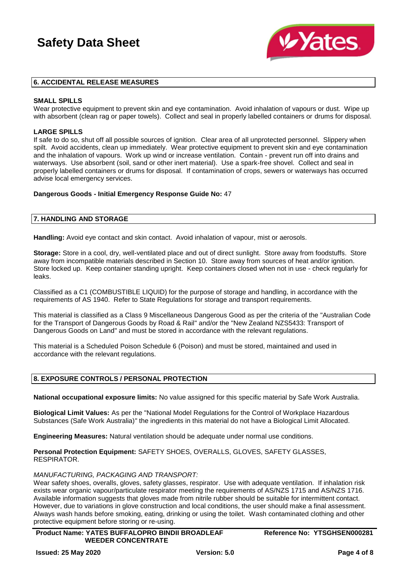

### **6. ACCIDENTAL RELEASE MEASURES**

### **SMALL SPILLS**

Wear protective equipment to prevent skin and eye contamination. Avoid inhalation of vapours or dust. Wipe up with absorbent (clean rag or paper towels). Collect and seal in properly labelled containers or drums for disposal.

### **LARGE SPILLS**

If safe to do so, shut off all possible sources of ignition. Clear area of all unprotected personnel. Slippery when spilt. Avoid accidents, clean up immediately. Wear protective equipment to prevent skin and eye contamination and the inhalation of vapours. Work up wind or increase ventilation. Contain - prevent run off into drains and waterways. Use absorbent (soil, sand or other inert material). Use a spark-free shovel. Collect and seal in properly labelled containers or drums for disposal. If contamination of crops, sewers or waterways has occurred advise local emergency services.

#### **Dangerous Goods - Initial Emergency Response Guide No:** 47

## **7. HANDLING AND STORAGE**

**Handling:** Avoid eye contact and skin contact. Avoid inhalation of vapour, mist or aerosols.

**Storage:** Store in a cool, dry, well-ventilated place and out of direct sunlight. Store away from foodstuffs. Store away from incompatible materials described in Section 10. Store away from sources of heat and/or ignition. Store locked up. Keep container standing upright. Keep containers closed when not in use - check regularly for leaks.

Classified as a C1 (COMBUSTIBLE LIQUID) for the purpose of storage and handling, in accordance with the requirements of AS 1940. Refer to State Regulations for storage and transport requirements.

This material is classified as a Class 9 Miscellaneous Dangerous Good as per the criteria of the "Australian Code for the Transport of Dangerous Goods by Road & Rail" and/or the "New Zealand NZS5433: Transport of Dangerous Goods on Land" and must be stored in accordance with the relevant regulations.

This material is a Scheduled Poison Schedule 6 (Poison) and must be stored, maintained and used in accordance with the relevant regulations.

## **8. EXPOSURE CONTROLS / PERSONAL PROTECTION**

**National occupational exposure limits:** No value assigned for this specific material by Safe Work Australia.

**Biological Limit Values:** As per the "National Model Regulations for the Control of Workplace Hazardous Substances (Safe Work Australia)" the ingredients in this material do not have a Biological Limit Allocated.

**Engineering Measures:** Natural ventilation should be adequate under normal use conditions.

**Personal Protection Equipment:** SAFETY SHOES, OVERALLS, GLOVES, SAFETY GLASSES, RESPIRATOR.

#### *MANUFACTURING, PACKAGING AND TRANSPORT:*

Wear safety shoes, overalls, gloves, safety glasses, respirator. Use with adequate ventilation. If inhalation risk exists wear organic vapour/particulate respirator meeting the requirements of AS/NZS 1715 and AS/NZS 1716. Available information suggests that gloves made from nitrile rubber should be suitable for intermittent contact. However, due to variations in glove construction and local conditions, the user should make a final assessment. Always wash hands before smoking, eating, drinking or using the toilet. Wash contaminated clothing and other protective equipment before storing or re-using.

**Product Name: YATES BUFFALOPRO BINDII BROADLEAF WEEDER CONCENTRATE**

**Reference No: YTSGHSEN000281**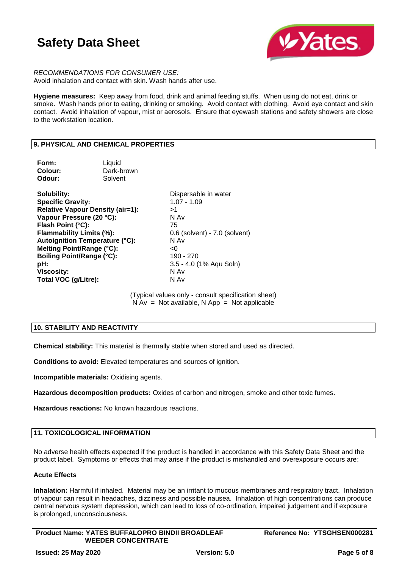

*RECOMMENDATIONS FOR CONSUMER USE:* Avoid inhalation and contact with skin. Wash hands after use.

**Hygiene measures:** Keep away from food, drink and animal feeding stuffs. When using do not eat, drink or smoke. Wash hands prior to eating, drinking or smoking. Avoid contact with clothing. Avoid eye contact and skin contact. Avoid inhalation of vapour, mist or aerosols. Ensure that eyewash stations and safety showers are close to the workstation location.

## **9. PHYSICAL AND CHEMICAL PROPERTIES**

| Form:<br>Colour:<br>Odour:                                                                                                                                                                                                                | Liquid<br>Dark-brown<br>Solvent                                                  |                                                                                                                                                                  |
|-------------------------------------------------------------------------------------------------------------------------------------------------------------------------------------------------------------------------------------------|----------------------------------------------------------------------------------|------------------------------------------------------------------------------------------------------------------------------------------------------------------|
| Solubility:<br><b>Specific Gravity:</b><br>Vapour Pressure (20 °C):<br>Flash Point (°C):<br>Flammability Limits (%):<br>Melting Point/Range (°C):<br><b>Boiling Point/Range (°C):</b><br>pH:<br><b>Viscosity:</b><br>Total VOC (g/Litre): | <b>Relative Vapour Density (air=1):</b><br><b>Autoignition Temperature (°C):</b> | Dispersable in water<br>$1.07 - 1.09$<br>>1<br>N Av<br>75<br>0.6 (solvent) - 7.0 (solvent)<br>N Av<br><0<br>190 - 270<br>3.5 - 4.0 (1% Aqu Soln)<br>N Av<br>N Av |
|                                                                                                                                                                                                                                           |                                                                                  |                                                                                                                                                                  |

(Typical values only - consult specification sheet)  $N Av = Not available, N App = Not applicable$ 

## **10. STABILITY AND REACTIVITY**

**Chemical stability:** This material is thermally stable when stored and used as directed.

**Conditions to avoid:** Elevated temperatures and sources of ignition.

**Incompatible materials:** Oxidising agents.

**Hazardous decomposition products:** Oxides of carbon and nitrogen, smoke and other toxic fumes.

**Hazardous reactions:** No known hazardous reactions.

## **11. TOXICOLOGICAL INFORMATION**

No adverse health effects expected if the product is handled in accordance with this Safety Data Sheet and the product label. Symptoms or effects that may arise if the product is mishandled and overexposure occurs are:

### **Acute Effects**

**Inhalation:** Harmful if inhaled. Material may be an irritant to mucous membranes and respiratory tract. Inhalation of vapour can result in headaches, dizziness and possible nausea. Inhalation of high concentrations can produce central nervous system depression, which can lead to loss of co-ordination, impaired judgement and if exposure is prolonged, unconsciousness.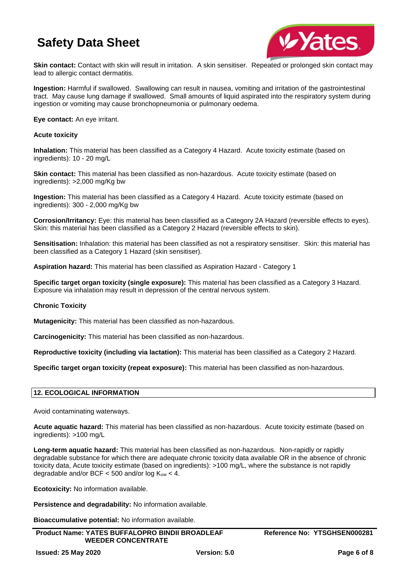

**Skin contact:** Contact with skin will result in irritation. A skin sensitiser. Repeated or prolonged skin contact may lead to allergic contact dermatitis.

**Ingestion:** Harmful if swallowed. Swallowing can result in nausea, vomiting and irritation of the gastrointestinal tract. May cause lung damage if swallowed. Small amounts of liquid aspirated into the respiratory system during ingestion or vomiting may cause bronchopneumonia or pulmonary oedema.

**Eye contact:** An eye irritant.

## **Acute toxicity**

**Inhalation:** This material has been classified as a Category 4 Hazard. Acute toxicity estimate (based on ingredients): 10 - 20 mg/L

**Skin contact:** This material has been classified as non-hazardous. Acute toxicity estimate (based on ingredients): >2,000 mg/Kg bw

**Ingestion:** This material has been classified as a Category 4 Hazard. Acute toxicity estimate (based on ingredients): 300 - 2,000 mg/Kg bw

**Corrosion/Irritancy:** Eye: this material has been classified as a Category 2A Hazard (reversible effects to eyes). Skin: this material has been classified as a Category 2 Hazard (reversible effects to skin).

**Sensitisation:** Inhalation: this material has been classified as not a respiratory sensitiser. Skin: this material has been classified as a Category 1 Hazard (skin sensitiser).

**Aspiration hazard:** This material has been classified as Aspiration Hazard - Category 1

**Specific target organ toxicity (single exposure):** This material has been classified as a Category 3 Hazard. Exposure via inhalation may result in depression of the central nervous system.

#### **Chronic Toxicity**

**Mutagenicity:** This material has been classified as non-hazardous.

**Carcinogenicity:** This material has been classified as non-hazardous.

**Reproductive toxicity (including via lactation):** This material has been classified as a Category 2 Hazard.

**Specific target organ toxicity (repeat exposure):** This material has been classified as non-hazardous.

## **12. ECOLOGICAL INFORMATION**

Avoid contaminating waterways.

**Acute aquatic hazard:** This material has been classified as non-hazardous. Acute toxicity estimate (based on ingredients): >100 mg/L

**Long-term aquatic hazard:** This material has been classified as non-hazardous. Non-rapidly or rapidly degradable substance for which there are adequate chronic toxicity data available OR in the absence of chronic toxicity data, Acute toxicity estimate (based on ingredients): >100 mg/L, where the substance is not rapidly degradable and/or BCF  $<$  500 and/or log  $K_{ow}$   $<$  4.

**Ecotoxicity:** No information available.

**Persistence and degradability:** No information available.

**Bioaccumulative potential:** No information available.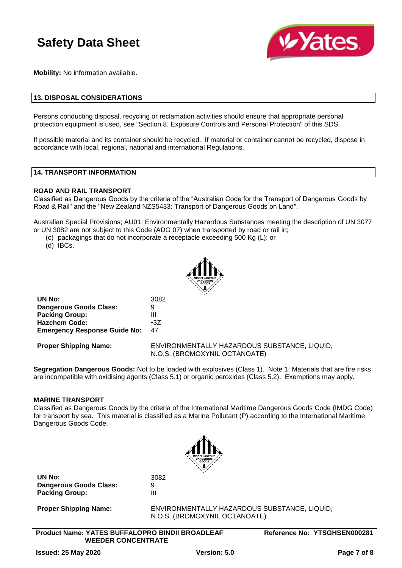

**Mobility:** No information available.

### **13. DISPOSAL CONSIDERATIONS**

Persons conducting disposal, recycling or reclamation activities should ensure that appropriate personal protection equipment is used, see "Section 8. Exposure Controls and Personal Protection" of this SDS.

If possible material and its container should be recycled. If material or container cannot be recycled, dispose in accordance with local, regional, national and international Regulations.

### **14. TRANSPORT INFORMATION**

#### **ROAD AND RAIL TRANSPORT**

Classified as Dangerous Goods by the criteria of the "Australian Code for the Transport of Dangerous Goods by Road & Rail" and the "New Zealand NZS5433: Transport of Dangerous Goods on Land".

Australian Special Provisions; AU01: Environmentally Hazardous Substances meeting the description of UN 3077 or UN 3082 are not subject to this Code (ADG 07) when transported by road or rail in;

- (c) packagings that do not incorporate a receptacle exceeding 500 Kg (L); or
- (d) IBCs.



| UN No:                              | 3082       |
|-------------------------------------|------------|
| Dangerous Goods Class:              | 9          |
| <b>Packing Group:</b>               | Ш          |
| <b>Hazchem Code:</b>                | $\cdot 37$ |
| <b>Emergency Response Guide No:</b> | 47         |

**Proper Shipping Name:** ENVIRONMENTALLY HAZARDOUS SUBSTANCE, LIQUID, N.O.S. (BROMOXYNIL OCTANOATE)

**Segregation Dangerous Goods:** Not to be loaded with explosives (Class 1). Note 1: Materials that are fire risks are incompatible with oxidising agents (Class 5.1) or organic peroxides (Class 5.2). Exemptions may apply.

#### **MARINE TRANSPORT**

Classified as Dangerous Goods by the criteria of the International Maritime Dangerous Goods Code (IMDG Code) for transport by sea. This material is classified as a Marine Pollutant (P) according to the International Maritime Dangerous Goods Code.



**UN No:** 3082 **Dangerous Goods Class:** 9 **Packing Group:** III

**Proper Shipping Name:** ENVIRONMENTALLY HAZARDOUS SUBSTANCE, LIQUID, N.O.S. (BROMOXYNIL OCTANOATE)

**Product Name: YATES BUFFALOPRO BINDII BROADLEAF WEEDER CONCENTRATE**

**Reference No: YTSGHSEN000281**